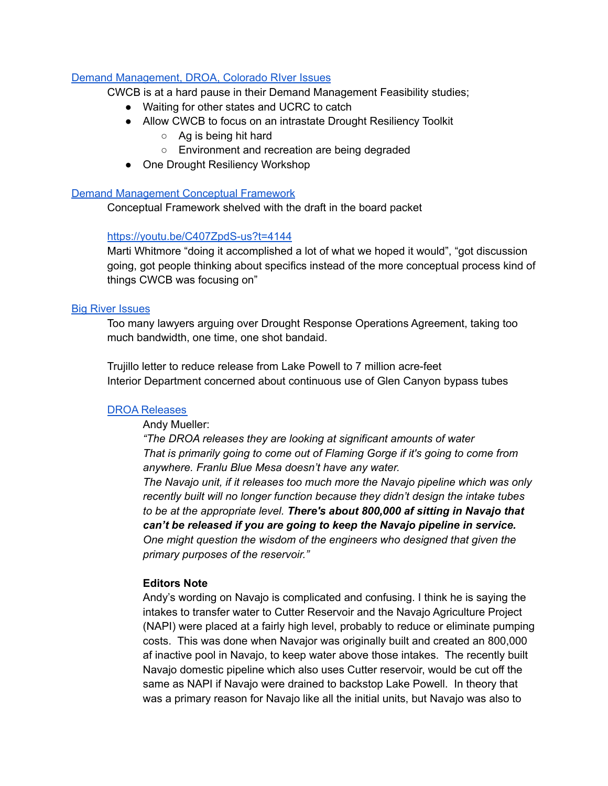# Demand [Management,](https://youtu.be/C407ZpdS-us?t=3758) DROA, Colorado RIver Issues

CWCB is at a hard pause in their Demand Management Feasibility studies;

- Waiting for other states and UCRC to catch
- Allow CWCB to focus on an intrastate Drought Resiliency Toolkit
	- $\circ$  Ag is being hit hard
	- Environment and recreation are being degraded
- One Drought Resiliency Workshop

## Demand [Management](https://youtu.be/C407ZpdS-us?t=4038) Conceptual Framework

Conceptual Framework shelved with the draft in the board packet

## <https://youtu.be/C407ZpdS-us?t=4144>

Marti Whitmore "doing it accomplished a lot of what we hoped it would", "got discussion going, got people thinking about specifics instead of the more conceptual process kind of things CWCB was focusing on"

### Big River [Issues](https://www.youtube.com/watch?v=C407ZpdS-us&t=4202s)

Too many lawyers arguing over Drought Response Operations Agreement, taking too much bandwidth, one time, one shot bandaid.

Trujillo letter to reduce release from Lake Powell to 7 million acre-feet Interior Department concerned about continuous use of Glen Canyon bypass tubes

### DROA [Releases](https://www.youtube.com/watch?v=C407ZpdS-us&t=4420s)

Andy Mueller:

*"The DROA releases they are looking at significant amounts of water That is primarily going to come out of Flaming Gorge if it's going to come from anywhere. Franlu Blue Mesa doesn't have any water.*

*The Navajo unit, if it releases too much more the Navajo pipeline which was only recently built will no longer function because they didn't design the intake tubes to be at the appropriate level. There's about 800,000 af sitting in Navajo that can't be released if you are going to keep the Navajo pipeline in service. One might question the wisdom of the engineers who designed that given the primary purposes of the reservoir."*

## **Editors Note**

Andy's wording on Navajo is complicated and confusing. I think he is saying the intakes to transfer water to Cutter Reservoir and the Navajo Agriculture Project (NAPI) were placed at a fairly high level, probably to reduce or eliminate pumping costs. This was done when Navajor was originally built and created an 800,000 af inactive pool in Navajo, to keep water above those intakes. The recently built Navajo domestic pipeline which also uses Cutter reservoir, would be cut off the same as NAPI if Navajo were drained to backstop Lake Powell. In theory that was a primary reason for Navajo like all the initial units, but Navajo was also to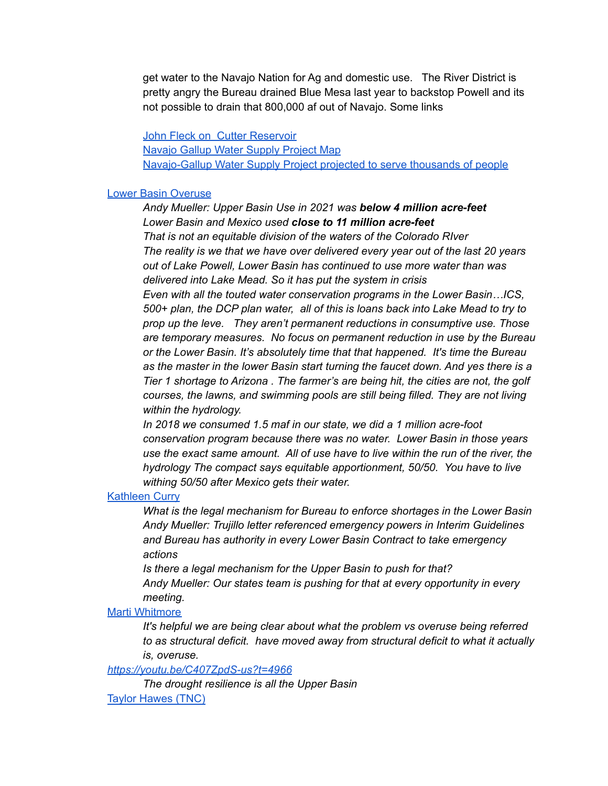get water to the Navajo Nation for Ag and domestic use. The River District is pretty angry the Bureau drained Blue Mesa last year to backstop Powell and its not possible to drain that 800,000 af out of Navajo. Some links

John Fleck on Cutter [Reservoir](http://www.inkstain.net/fleck/2018/08/cutter-reservoir/) [Navajo](https://www.gallupnm.gov/AgendaCenter/ViewFile/Item/1400?fileID=7348) Gallup Water Supply Project Map [Navajo-Gallup](https://cronkitenews.azpbs.org/2022/01/26/navajo-gallup-water-supply-project-serve-thousands-people/) Water Supply Project projected to serve thousands of people

### Lower Basin [Overuse](https://youtu.be/C407ZpdS-us?t=4564)

*Andy Mueller: Upper Basin Use in 2021 was below 4 million acre-feet Lower Basin and Mexico used close to 11 million acre-feet That is not an equitable division of the waters of the Colorado RIver The reality is we that we have over delivered every year out of the last 20 years out of Lake Powell, Lower Basin has continued to use more water than was delivered into Lake Mead. So it has put the system in crisis Even with all the touted water conservation programs in the Lower Basin…ICS, 500+ plan, the DCP plan water, all of this is loans back into Lake Mead to try to prop up the leve. They aren't permanent reductions in consumptive use. Those are temporary measures. No focus on permanent reduction in use by the Bureau or the Lower Basin. It's absolutely time that that happened. It's time the Bureau as the master in the lower Basin start turning the faucet down. And yes there is a Tier 1 shortage to Arizona . The farmer's are being hit, the cities are not, the golf courses, the lawns, and swimming pools are still being filled. They are not living within the hydrology.*

*In 2018 we consumed 1.5 maf in our state, we did a 1 million acre-foot conservation program because there was no water. Lower Basin in those years use the exact same amount. All of use have to live within the run of the river, the hydrology The compact says equitable apportionment, 50/50. You have to live withing 50/50 after Mexico gets their water.*

## [Kathleen](https://www.youtube.com/watch?v=C407ZpdS-us&t=4837s) Curry

*What is the legal mechanism for Bureau to enforce shortages in the Lower Basin Andy Mueller: Trujillo letter referenced emergency powers in Interim Guidelines and Bureau has authority in every Lower Basin Contract to take emergency actions*

*Is there a legal mechanism for the Upper Basin to push for that? Andy Mueller: Our states team is pushing for that at every opportunity in every meeting.*

## Marti [Whitmore](https://youtu.be/C407ZpdS-us?t=4909)

*It's helpful we are being clear about what the problem vs overuse being referred to as structural deficit. have moved away from structural deficit to what it actually is, overuse.*

### *[https://youtu.be/C407ZpdS-us?t=4966](https://www.youtube.com/watch?v=C407ZpdS-us&t=4967s)*

*The drought resilience is all the Upper Basin* Taylor [Hawes](https://youtu.be/C407ZpdS-us?t=5002) (TNC)